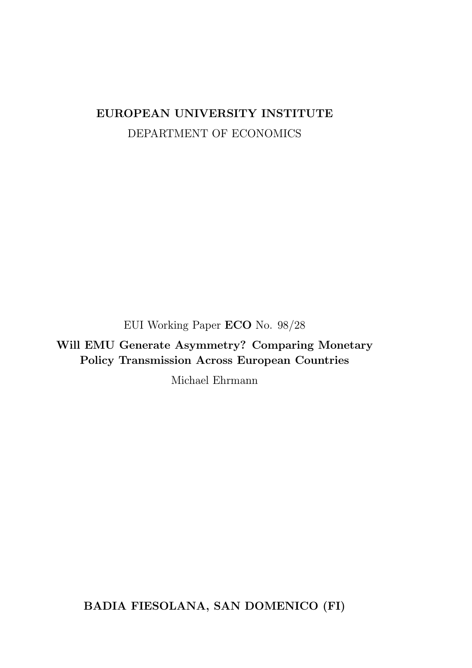# EUROPEAN UNIVERSITY INSTITUTE DEPARTMENT OF ECONOMICS

EUI Working Paper ECO No. 98/28

Will EMU Generate Asymmetry? Comparing Monetary Policy Transmission Across European Countries

Michael Ehrmann

BADIA FIESOLANA, SAN DOMENICO (FI)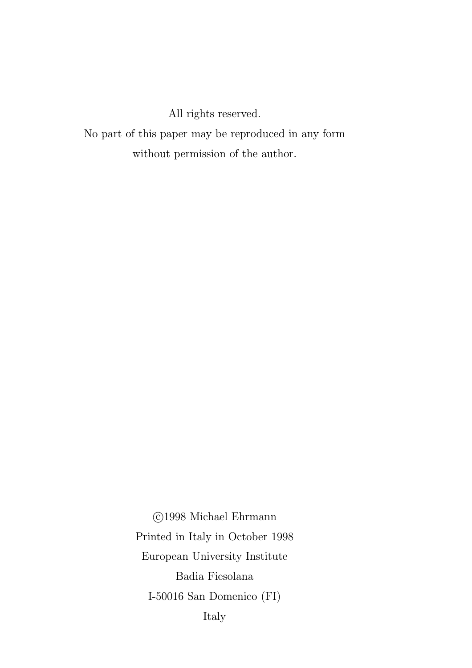All rights reserved.

No part of this paper may be reproduced in any form without permission of the author.

> °c 1998 Michael Ehrmann Printed in Italy in October 1998 European University Institute Badia Fiesolana I-50016 San Domenico (FI) Italy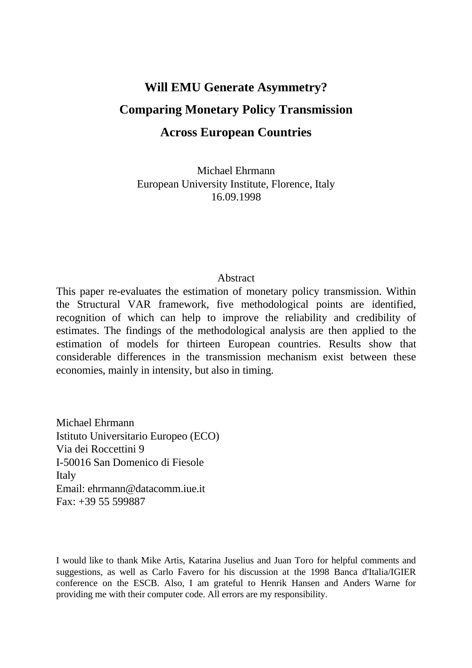# **Will EMU Generate Asymmetry? Comparing Monetary Policy Transmission Across European Countries**

Michael Ehrmann European University Institute, Florence, Italy 16.09.1998

#### **Abstract**

This paper re-evaluates the estimation of monetary policy transmission. Within the Structural VAR framework, five methodological points are identified, recognition of which can help to improve the reliability and credibility of estimates. The findings of the methodological analysis are then applied to the estimation of models for thirteen European countries. Results show that considerable differences in the transmission mechanism exist between these economies, mainly in intensity, but also in timing.

Michael Ehrmann Istituto Universitario Europeo (ECO) Via dei Roccettini 9 I-50016 San Domenico di Fiesole Italy Email: ehrmann@datacomm.iue.it  $Fax + 3955599887$ 

I would like to thank Mike Artis, Katarina Juselius and Juan Toro for helpful comments and suggestions, as well as Carlo Favero for his discussion at the 1998 Banca d'Italia/IGIER conference on the ESCB. Also, I am grateful to Henrik Hansen and Anders Warne for providing me with their computer code. All errors are my responsibility.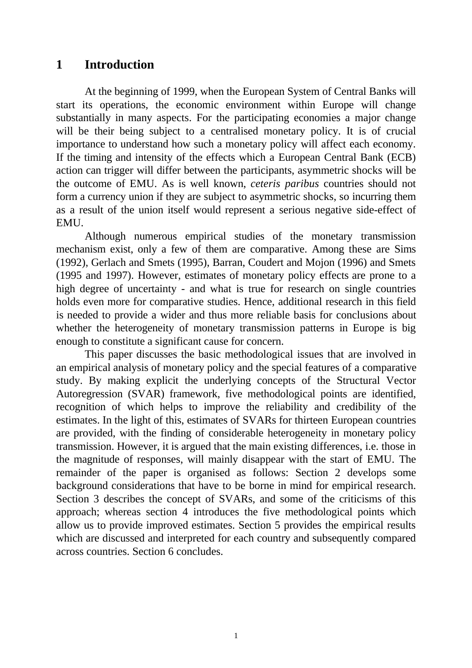## **1 Introduction**

At the beginning of 1999, when the European System of Central Banks will start its operations, the economic environment within Europe will change substantially in many aspects. For the participating economies a major change will be their being subject to a centralised monetary policy. It is of crucial importance to understand how such a monetary policy will affect each economy. If the timing and intensity of the effects which a European Central Bank (ECB) action can trigger will differ between the participants, asymmetric shocks will be the outcome of EMU. As is well known, *ceteris paribus* countries should not form a currency union if they are subject to asymmetric shocks, so incurring them as a result of the union itself would represent a serious negative side-effect of EMU.

Although numerous empirical studies of the monetary transmission mechanism exist, only a few of them are comparative. Among these are Sims (1992), Gerlach and Smets (1995), Barran, Coudert and Mojon (1996) and Smets (1995 and 1997). However, estimates of monetary policy effects are prone to a high degree of uncertainty - and what is true for research on single countries holds even more for comparative studies. Hence, additional research in this field is needed to provide a wider and thus more reliable basis for conclusions about whether the heterogeneity of monetary transmission patterns in Europe is big enough to constitute a significant cause for concern.

This paper discusses the basic methodological issues that are involved in an empirical analysis of monetary policy and the special features of a comparative study. By making explicit the underlying concepts of the Structural Vector Autoregression (SVAR) framework, five methodological points are identified, recognition of which helps to improve the reliability and credibility of the estimates. In the light of this, estimates of SVARs for thirteen European countries are provided, with the finding of considerable heterogeneity in monetary policy transmission. However, it is argued that the main existing differences, i.e. those in the magnitude of responses, will mainly disappear with the start of EMU. The remainder of the paper is organised as follows: Section 2 develops some background considerations that have to be borne in mind for empirical research. Section 3 describes the concept of SVARs, and some of the criticisms of this approach; whereas section 4 introduces the five methodological points which allow us to provide improved estimates. Section 5 provides the empirical results which are discussed and interpreted for each country and subsequently compared across countries. Section 6 concludes.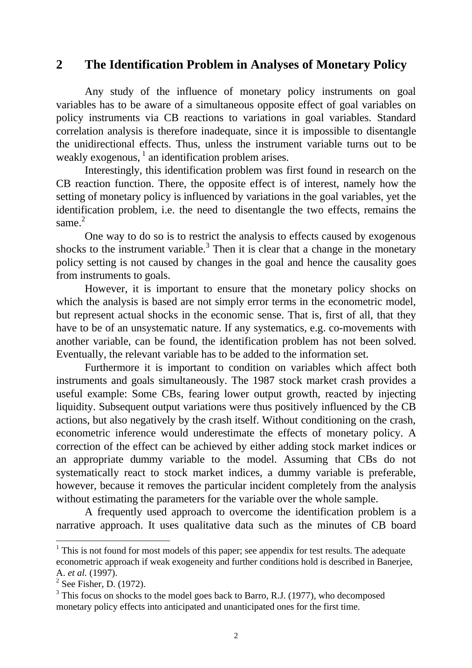## **2 The Identification Problem in Analyses of Monetary Policy**

Any study of the influence of monetary policy instruments on goal variables has to be aware of a simultaneous opposite effect of goal variables on policy instruments via CB reactions to variations in goal variables. Standard correlation analysis is therefore inadequate, since it is impossible to disentangle the unidirectional effects. Thus, unless the instrument variable turns out to be weakly exogenous,  $\frac{1}{1}$  an identification problem arises.

Interestingly, this identification problem was first found in research on the CB reaction function. There, the opposite effect is of interest, namely how the setting of monetary policy is influenced by variations in the goal variables, yet the identification problem, i.e. the need to disentangle the two effects, remains the same.<sup>2</sup>

One way to do so is to restrict the analysis to effects caused by exogenous shocks to the instrument variable.<sup>3</sup> Then it is clear that a change in the monetary policy setting is not caused by changes in the goal and hence the causality goes from instruments to goals.

However, it is important to ensure that the monetary policy shocks on which the analysis is based are not simply error terms in the econometric model. but represent actual shocks in the economic sense. That is, first of all, that they have to be of an unsystematic nature. If any systematics, e.g. co-movements with another variable, can be found, the identification problem has not been solved. Eventually, the relevant variable has to be added to the information set.

Furthermore it is important to condition on variables which affect both instruments and goals simultaneously. The 1987 stock market crash provides a useful example: Some CBs, fearing lower output growth, reacted by injecting liquidity. Subsequent output variations were thus positively influenced by the CB actions, but also negatively by the crash itself. Without conditioning on the crash, econometric inference would underestimate the effects of monetary policy. A correction of the effect can be achieved by either adding stock market indices or an appropriate dummy variable to the model. Assuming that CBs do not systematically react to stock market indices, a dummy variable is preferable, however, because it removes the particular incident completely from the analysis without estimating the parameters for the variable over the whole sample.

A frequently used approach to overcome the identification problem is a narrative approach. It uses qualitative data such as the minutes of CB board

<sup>&</sup>lt;sup>1</sup> This is not found for most models of this paper; see appendix for test results. The adequate econometric approach if weak exogeneity and further conditions hold is described in Banerjee, A. *et al.* (1997).

 $2$  See Fisher, D. (1972).

<sup>&</sup>lt;sup>3</sup> This focus on shocks to the model goes back to Barro, R.J. (1977), who decomposed monetary policy effects into anticipated and unanticipated ones for the first time.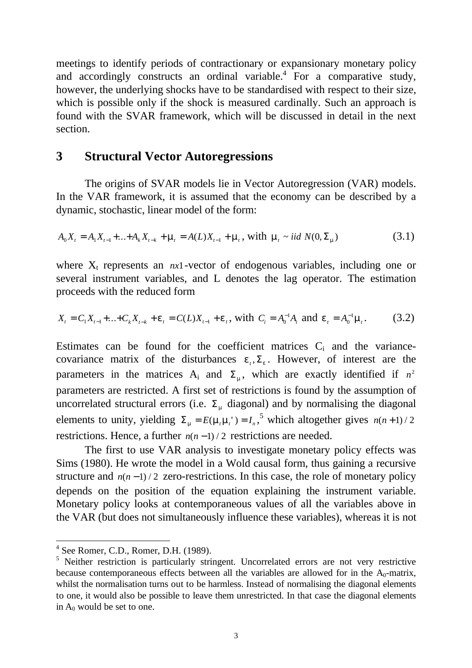meetings to identify periods of contractionary or expansionary monetary policy and accordingly constructs an ordinal variable.<sup>4</sup> For a comparative study, however, the underlying shocks have to be standardised with respect to their size, which is possible only if the shock is measured cardinally. Such an approach is found with the SVAR framework, which will be discussed in detail in the next section.

## **3 Structural Vector Autoregressions**

The origins of SVAR models lie in Vector Autoregression (VAR) models. In the VAR framework, it is assumed that the economy can be described by a dynamic, stochastic, linear model of the form:

$$
A_0 X_t = A_1 X_{t-1} + ... + A_k X_{t-k} + \mu_t = A(L) X_{t-1} + \mu_t, \text{ with } \mu_t \sim \text{iid } N(0, \Sigma_\mu)
$$
\n(3.1)

where  $X_t$  represents an  $nx1$ -vector of endogenous variables, including one or several instrument variables, and L denotes the lag operator. The estimation proceeds with the reduced form

$$
X_t = C_1 X_{t-1} + \ldots + C_k X_{t-k} + \varepsilon_t = C(L) X_{t-1} + \varepsilon_t, \text{ with } C_i = A_0^{-1} A_i \text{ and } \varepsilon_t = A_0^{-1} \mu_t. \tag{3.2}
$$

Estimates can be found for the coefficient matrices  $C_i$  and the variancecovariance matrix of the disturbances  $\varepsilon_t$ ,  $\Sigma_{\varepsilon}$ . However, of interest are the parameters in the matrices  $A_i$  and  $\Sigma_{\mu}$ , which are exactly identified if  $n^2$ parameters are restricted. A first set of restrictions is found by the assumption of uncorrelated structural errors (i.e.  $\Sigma_{\mu}$  diagonal) and by normalising the diagonal elements to unity, yielding  $\Sigma_{\mu} = E(\mu_{\mu} \mu_{\nu}) = I_n^{\ 5}$  which altogether gives  $n(n+1)/2$ restrictions. Hence, a further  $n(n-1)/2$  restrictions are needed.

The first to use VAR analysis to investigate monetary policy effects was Sims (1980). He wrote the model in a Wold causal form, thus gaining a recursive structure and  $n(n-1)/2$  zero-restrictions. In this case, the role of monetary policy depends on the position of the equation explaining the instrument variable. Monetary policy looks at contemporaneous values of all the variables above in the VAR (but does not simultaneously influence these variables), whereas it is not

 4 See Romer, C.D., Romer, D.H. (1989).

<sup>&</sup>lt;sup>5</sup> Neither restriction is particularly stringent. Uncorrelated errors are not very restrictive because contemporaneous effects between all the variables are allowed for in the  $A_0$ -matrix, whilst the normalisation turns out to be harmless. Instead of normalising the diagonal elements to one, it would also be possible to leave them unrestricted. In that case the diagonal elements in  $A_0$  would be set to one.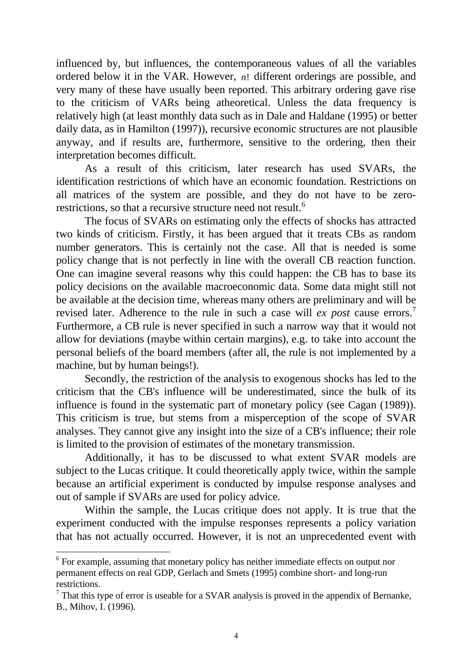influenced by, but influences, the contemporaneous values of all the variables ordered below it in the VAR. However, *n*! different orderings are possible, and very many of these have usually been reported. This arbitrary ordering gave rise to the criticism of VARs being atheoretical. Unless the data frequency is relatively high (at least monthly data such as in Dale and Haldane (1995) or better daily data, as in Hamilton (1997)), recursive economic structures are not plausible anyway, and if results are, furthermore, sensitive to the ordering, then their interpretation becomes difficult.

As a result of this criticism, later research has used SVARs, the identification restrictions of which have an economic foundation. Restrictions on all matrices of the system are possible, and they do not have to be zerorestrictions, so that a recursive structure need not result.<sup>6</sup>

The focus of SVARs on estimating only the effects of shocks has attracted two kinds of criticism. Firstly, it has been argued that it treats CBs as random number generators. This is certainly not the case. All that is needed is some policy change that is not perfectly in line with the overall CB reaction function. One can imagine several reasons why this could happen: the CB has to base its policy decisions on the available macroeconomic data. Some data might still not be available at the decision time, whereas many others are preliminary and will be revised later. Adherence to the rule in such a case will *ex post* cause errors.<sup>7</sup> Furthermore, a CB rule is never specified in such a narrow way that it would not allow for deviations (maybe within certain margins), e.g. to take into account the personal beliefs of the board members (after all, the rule is not implemented by a machine, but by human beings!).

Secondly, the restriction of the analysis to exogenous shocks has led to the criticism that the CB's influence will be underestimated, since the bulk of its influence is found in the systematic part of monetary policy (see Cagan (1989)). This criticism is true, but stems from a misperception of the scope of SVAR analyses. They cannot give any insight into the size of a CB's influence; their role is limited to the provision of estimates of the monetary transmission.

Additionally, it has to be discussed to what extent SVAR models are subject to the Lucas critique. It could theoretically apply twice, within the sample because an artificial experiment is conducted by impulse response analyses and out of sample if SVARs are used for policy advice.

Within the sample, the Lucas critique does not apply. It is true that the experiment conducted with the impulse responses represents a policy variation that has not actually occurred. However, it is not an unprecedented event with

<sup>&</sup>lt;sup>6</sup> For example, assuming that monetary policy has neither immediate effects on output nor permanent effects on real GDP, Gerlach and Smets (1995) combine short- and long-run restrictions.

 $<sup>7</sup>$  That this type of error is useable for a SVAR analysis is proved in the appendix of Bernanke,</sup> B., Mihov, I. (1996).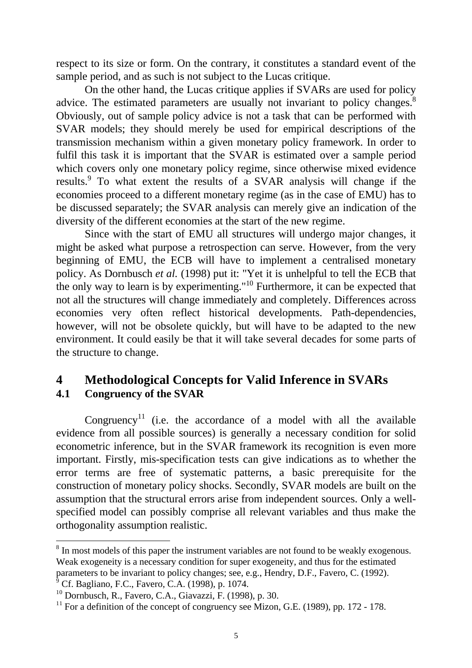respect to its size or form. On the contrary, it constitutes a standard event of the sample period, and as such is not subject to the Lucas critique.

On the other hand, the Lucas critique applies if SVARs are used for policy advice. The estimated parameters are usually not invariant to policy changes.<sup>8</sup> Obviously, out of sample policy advice is not a task that can be performed with SVAR models; they should merely be used for empirical descriptions of the transmission mechanism within a given monetary policy framework. In order to fulfil this task it is important that the SVAR is estimated over a sample period which covers only one monetary policy regime, since otherwise mixed evidence results.<sup>9</sup> To what extent the results of a SVAR analysis will change if the economies proceed to a different monetary regime (as in the case of EMU) has to be discussed separately; the SVAR analysis can merely give an indication of the diversity of the different economies at the start of the new regime.

Since with the start of EMU all structures will undergo major changes, it might be asked what purpose a retrospection can serve. However, from the very beginning of EMU, the ECB will have to implement a centralised monetary policy. As Dornbusch *et al.* (1998) put it: "Yet it is unhelpful to tell the ECB that the only way to learn is by experimenting."10 Furthermore, it can be expected that not all the structures will change immediately and completely. Differences across economies very often reflect historical developments. Path-dependencies, however, will not be obsolete quickly, but will have to be adapted to the new environment. It could easily be that it will take several decades for some parts of the structure to change.

## **4 Methodological Concepts for Valid Inference in SVARs 4.1 Congruency of the SVAR**

Congruency<sup>11</sup> (i.e. the accordance of a model with all the available evidence from all possible sources) is generally a necessary condition for solid econometric inference, but in the SVAR framework its recognition is even more important. Firstly, mis-specification tests can give indications as to whether the error terms are free of systematic patterns, a basic prerequisite for the construction of monetary policy shocks. Secondly, SVAR models are built on the assumption that the structural errors arise from independent sources. Only a wellspecified model can possibly comprise all relevant variables and thus make the orthogonality assumption realistic.

<sup>&</sup>lt;sup>8</sup> In most models of this paper the instrument variables are not found to be weakly exogenous. Weak exogeneity is a necessary condition for super exogeneity, and thus for the estimated parameters to be invariant to policy changes; see, e.g., Hendry, D.F., Favero, C. (1992). <sup>9</sup> Cf. Bagliano, F.C., Favero, C.A. (1998), p. 1074.

<sup>&</sup>lt;sup>10</sup> Dornbusch, R., Favero, C.A., Giavazzi, F. (1998), p. 30.

 $11$  For a definition of the concept of congruency see Mizon, G.E. (1989), pp. 172 - 178.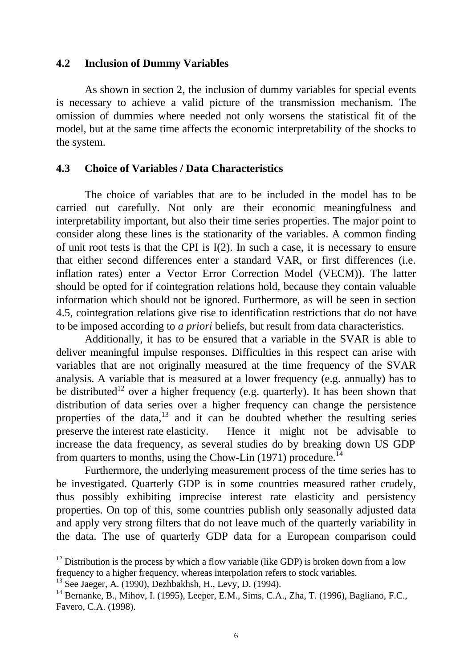#### **4.2 Inclusion of Dummy Variables**

As shown in section 2, the inclusion of dummy variables for special events is necessary to achieve a valid picture of the transmission mechanism. The omission of dummies where needed not only worsens the statistical fit of the model, but at the same time affects the economic interpretability of the shocks to the system.

#### **4.3 Choice of Variables / Data Characteristics**

The choice of variables that are to be included in the model has to be carried out carefully. Not only are their economic meaningfulness and interpretability important, but also their time series properties. The major point to consider along these lines is the stationarity of the variables. A common finding of unit root tests is that the CPI is I(2). In such a case, it is necessary to ensure that either second differences enter a standard VAR, or first differences (i.e. inflation rates) enter a Vector Error Correction Model (VECM)). The latter should be opted for if cointegration relations hold, because they contain valuable information which should not be ignored. Furthermore, as will be seen in section 4.5, cointegration relations give rise to identification restrictions that do not have to be imposed according to *a priori* beliefs, but result from data characteristics.

Additionally, it has to be ensured that a variable in the SVAR is able to deliver meaningful impulse responses. Difficulties in this respect can arise with variables that are not originally measured at the time frequency of the SVAR analysis. A variable that is measured at a lower frequency (e.g. annually) has to be distributed<sup>12</sup> over a higher frequency (e.g. quarterly). It has been shown that distribution of data series over a higher frequency can change the persistence properties of the data, $13$  and it can be doubted whether the resulting series preserve the interest rate elasticity. Hence it might not be advisable to increase the data frequency, as several studies do by breaking down US GDP from quarters to months, using the Chow-Lin  $(1971)$  procedure.<sup>14</sup>

Furthermore, the underlying measurement process of the time series has to be investigated. Quarterly GDP is in some countries measured rather crudely, thus possibly exhibiting imprecise interest rate elasticity and persistency properties. On top of this, some countries publish only seasonally adjusted data and apply very strong filters that do not leave much of the quarterly variability in the data. The use of quarterly GDP data for a European comparison could

 $12$  Distribution is the process by which a flow variable (like GDP) is broken down from a low frequency to a higher frequency, whereas interpolation refers to stock variables.

 $13$  See Jaeger, A. (1990), Dezhbakhsh, H., Levy, D. (1994).

 $14$  Bernanke, B., Mihov, I. (1995), Leeper, E.M., Sims, C.A., Zha, T. (1996), Bagliano, F.C., Favero, C.A. (1998).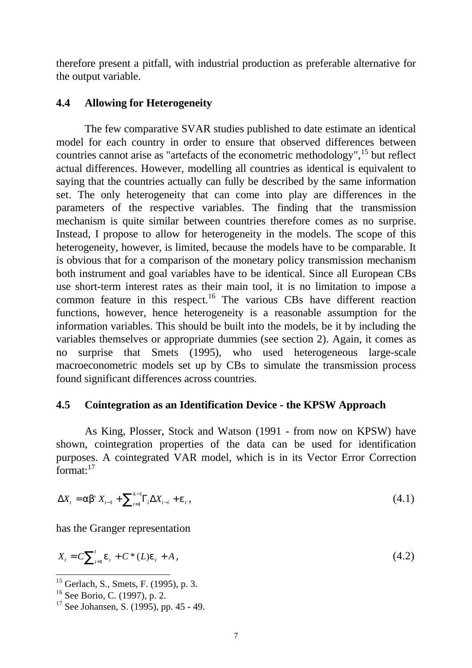therefore present a pitfall, with industrial production as preferable alternative for the output variable.

#### **4.4 Allowing for Heterogeneity**

The few comparative SVAR studies published to date estimate an identical model for each country in order to ensure that observed differences between countries cannot arise as "artefacts of the econometric methodology",<sup>15</sup> but reflect actual differences. However, modelling all countries as identical is equivalent to saying that the countries actually can fully be described by the same information set. The only heterogeneity that can come into play are differences in the parameters of the respective variables. The finding that the transmission mechanism is quite similar between countries therefore comes as no surprise. Instead, I propose to allow for heterogeneity in the models. The scope of this heterogeneity, however, is limited, because the models have to be comparable. It is obvious that for a comparison of the monetary policy transmission mechanism both instrument and goal variables have to be identical. Since all European CBs use short-term interest rates as their main tool, it is no limitation to impose a common feature in this respect.<sup>16</sup> The various CBs have different reaction functions, however, hence heterogeneity is a reasonable assumption for the information variables. This should be built into the models, be it by including the variables themselves or appropriate dummies (see section 2). Again, it comes as no surprise that Smets (1995), who used heterogeneous large-scale macroeconometric models set up by CBs to simulate the transmission process found significant differences across countries.

#### **4.5 Cointegration as an Identification Device - the KPSW Approach**

As King, Plosser, Stock and Watson (1991 - from now on KPSW) have shown, cointegration properties of the data can be used for identification purposes. A cointegrated VAR model, which is in its Vector Error Correction format: $17$ 

$$
\Delta X_t = \alpha \beta' X_{t-1} + \sum_{i=1}^{k-1} \Gamma_i \Delta X_{t-i} + \varepsilon_t,
$$
\n(4.1)

has the Granger representation

$$
X_t = C \sum_{i=1}^t \varepsilon_i + C^*(L)\varepsilon_t + A, \qquad (4.2)
$$

 $15$  Gerlach, S., Smets, F. (1995), p. 3.

<sup>16</sup> See Borio, C. (1997), p. 2.

<sup>&</sup>lt;sup>17</sup> See Johansen, S. (1995), pp. 45 - 49.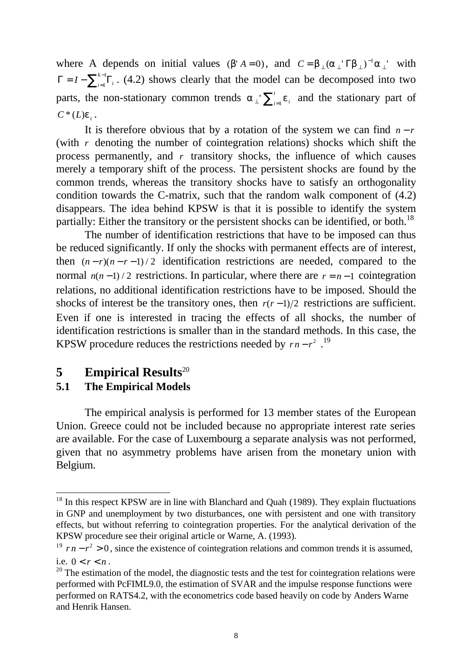where A depends on initial values ( $\beta' A = 0$ ), and  $C = \beta_{\perp} (\alpha_{\perp} \nabla \beta_{\perp})^{-1} \alpha_{\perp}$  with  $\Gamma = I - \sum\nolimits_{i=1}^{k-1} {\Gamma_i}$ 1  ${}^{1}\Gamma_i$ . (4.2) shows clearly that the model can be decomposed into two parts, the non-stationary common trends  $\alpha_{\perp} \sum_{i=1}^{t} \varepsilon_i$  and the stationary part of  $C^*(L)\varepsilon$ .

It is therefore obvious that by a rotation of the system we can find  $n-r$ (with *r* denoting the number of cointegration relations) shocks which shift the process permanently, and *r* transitory shocks, the influence of which causes merely a temporary shift of the process. The persistent shocks are found by the common trends, whereas the transitory shocks have to satisfy an orthogonality condition towards the C-matrix, such that the random walk component of (4.2) disappears. The idea behind KPSW is that it is possible to identify the system partially: Either the transitory or the persistent shocks can be identified, or both.<sup>18</sup>

The number of identification restrictions that have to be imposed can thus be reduced significantly. If only the shocks with permanent effects are of interest, then  $(n - r)(n - r - 1)/2$  identification restrictions are needed, compared to the normal  $n(n-1)/2$  restrictions. In particular, where there are  $r = n-1$  cointegration relations, no additional identification restrictions have to be imposed. Should the shocks of interest be the transitory ones, then  $r(r-1)/2$  restrictions are sufficient. Even if one is interested in tracing the effects of all shocks, the number of identification restrictions is smaller than in the standard methods. In this case, the KPSW procedure reduces the restrictions needed by  $rn - r^2$ .<sup>19</sup>

## **5 Empirical Results**<sup>20</sup>

## **5.1 The Empirical Models**

-

The empirical analysis is performed for 13 member states of the European Union. Greece could not be included because no appropriate interest rate series are available. For the case of Luxembourg a separate analysis was not performed, given that no asymmetry problems have arisen from the monetary union with Belgium.

 $18$  In this respect KPSW are in line with Blanchard and Quah (1989). They explain fluctuations in GNP and unemployment by two disturbances, one with persistent and one with transitory effects, but without referring to cointegration properties. For the analytical derivation of the KPSW procedure see their original article or Warne, A. (1993).

<sup>&</sup>lt;sup>19</sup>  $rn - r^2 > 0$ , since the existence of cointegration relations and common trends it is assumed, i.e.  $0 < r < n$ .

 $20$  The estimation of the model, the diagnostic tests and the test for cointegration relations were performed with PcFIML9.0, the estimation of SVAR and the impulse response functions were performed on RATS4.2, with the econometrics code based heavily on code by Anders Warne and Henrik Hansen.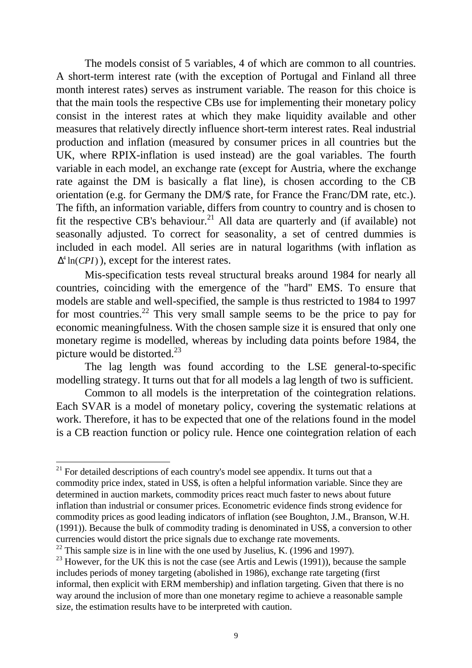The models consist of 5 variables, 4 of which are common to all countries. A short-term interest rate (with the exception of Portugal and Finland all three month interest rates) serves as instrument variable. The reason for this choice is that the main tools the respective CBs use for implementing their monetary policy consist in the interest rates at which they make liquidity available and other measures that relatively directly influence short-term interest rates. Real industrial production and inflation (measured by consumer prices in all countries but the UK, where RPIX-inflation is used instead) are the goal variables. The fourth variable in each model, an exchange rate (except for Austria, where the exchange rate against the DM is basically a flat line), is chosen according to the CB orientation (e.g. for Germany the DM/\$ rate, for France the Franc/DM rate, etc.). The fifth, an information variable, differs from country to country and is chosen to fit the respective CB's behaviour.<sup>21</sup> All data are quarterly and (if available) not seasonally adjusted. To correct for seasonality, a set of centred dummies is included in each model. All series are in natural logarithms (with inflation as  $\Delta^4$  ln(*CPI*)), except for the interest rates.

Mis-specification tests reveal structural breaks around 1984 for nearly all countries, coinciding with the emergence of the "hard" EMS. To ensure that models are stable and well-specified, the sample is thus restricted to 1984 to 1997 for most countries.<sup>22</sup> This very small sample seems to be the price to pay for economic meaningfulness. With the chosen sample size it is ensured that only one monetary regime is modelled, whereas by including data points before 1984, the picture would be distorted. $^{23}$ 

The lag length was found according to the LSE general-to-specific modelling strategy. It turns out that for all models a lag length of two is sufficient.

Common to all models is the interpretation of the cointegration relations. Each SVAR is a model of monetary policy, covering the systematic relations at work. Therefore, it has to be expected that one of the relations found in the model is a CB reaction function or policy rule. Hence one cointegration relation of each

 $21$  For detailed descriptions of each country's model see appendix. It turns out that a commodity price index, stated in US\$, is often a helpful information variable. Since they are determined in auction markets, commodity prices react much faster to news about future inflation than industrial or consumer prices. Econometric evidence finds strong evidence for commodity prices as good leading indicators of inflation (see Boughton, J.M., Branson, W.H. (1991)). Because the bulk of commodity trading is denominated in US\$, a conversion to other currencies would distort the price signals due to exchange rate movements.

<sup>&</sup>lt;sup>22</sup> This sample size is in line with the one used by Juselius, K. (1996 and 1997).

 $23$  However, for the UK this is not the case (see Artis and Lewis (1991)), because the sample includes periods of money targeting (abolished in 1986), exchange rate targeting (first informal, then explicit with ERM membership) and inflation targeting. Given that there is no way around the inclusion of more than one monetary regime to achieve a reasonable sample size, the estimation results have to be interpreted with caution.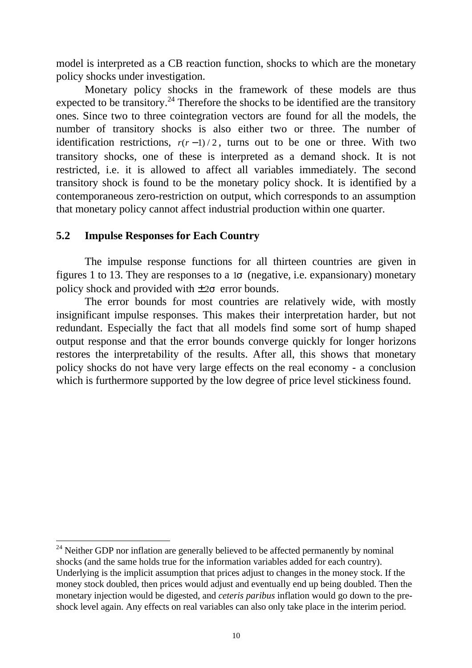model is interpreted as a CB reaction function, shocks to which are the monetary policy shocks under investigation.

Monetary policy shocks in the framework of these models are thus expected to be transitory.<sup>24</sup> Therefore the shocks to be identified are the transitory ones. Since two to three cointegration vectors are found for all the models, the number of transitory shocks is also either two or three. The number of identification restrictions,  $r(r-1)/2$ , turns out to be one or three. With two transitory shocks, one of these is interpreted as a demand shock. It is not restricted, i.e. it is allowed to affect all variables immediately. The second transitory shock is found to be the monetary policy shock. It is identified by a contemporaneous zero-restriction on output, which corresponds to an assumption that monetary policy cannot affect industrial production within one quarter.

#### **5.2 Impulse Responses for Each Country**

-

The impulse response functions for all thirteen countries are given in figures 1 to 13. They are responses to a  $1\sigma$  (negative, i.e. expansionary) monetary policy shock and provided with  $\pm 2\sigma$  error bounds.

The error bounds for most countries are relatively wide, with mostly insignificant impulse responses. This makes their interpretation harder, but not redundant. Especially the fact that all models find some sort of hump shaped output response and that the error bounds converge quickly for longer horizons restores the interpretability of the results. After all, this shows that monetary policy shocks do not have very large effects on the real economy - a conclusion which is furthermore supported by the low degree of price level stickiness found.

 $24$  Neither GDP nor inflation are generally believed to be affected permanently by nominal shocks (and the same holds true for the information variables added for each country). Underlying is the implicit assumption that prices adjust to changes in the money stock. If the money stock doubled, then prices would adjust and eventually end up being doubled. Then the monetary injection would be digested, and *ceteris paribus* inflation would go down to the preshock level again. Any effects on real variables can also only take place in the interim period.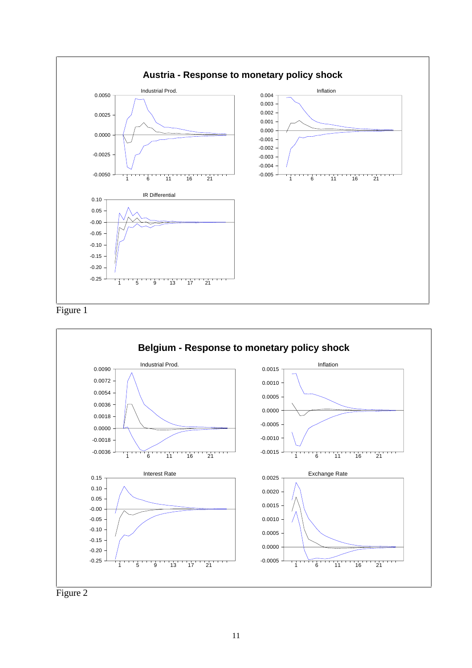





Figure 2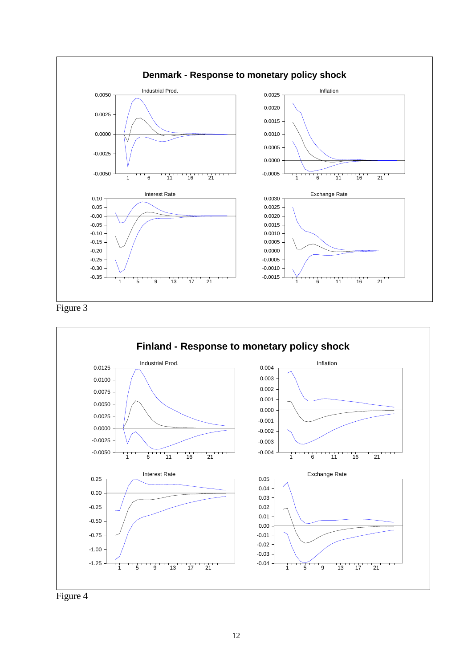





Figure 4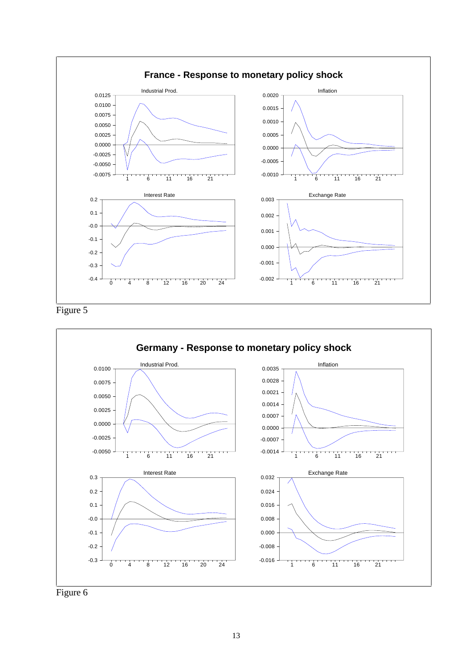





Figure 6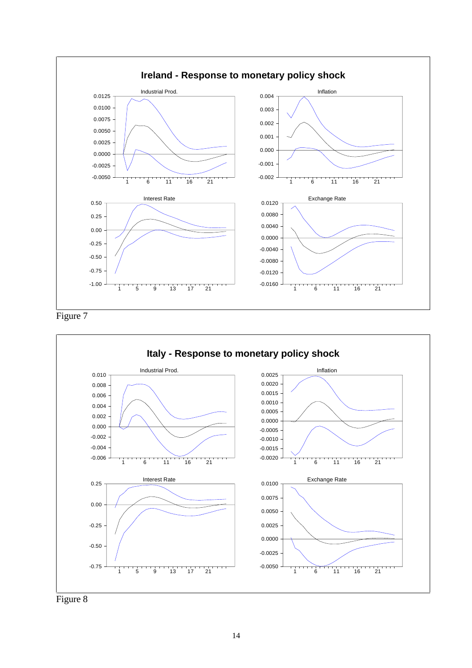

Figure 7

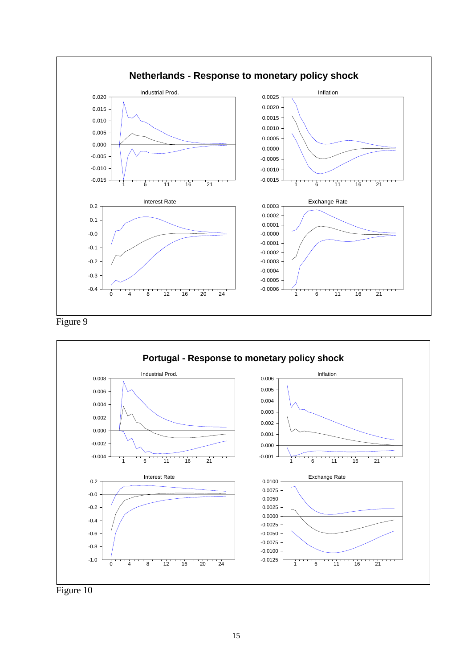



Figure 10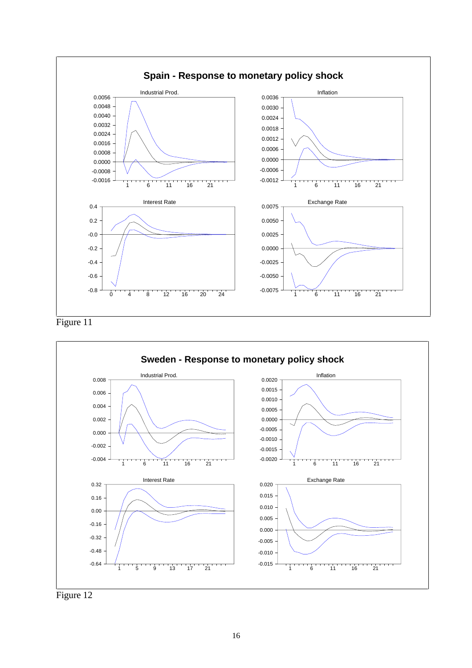



Figure 12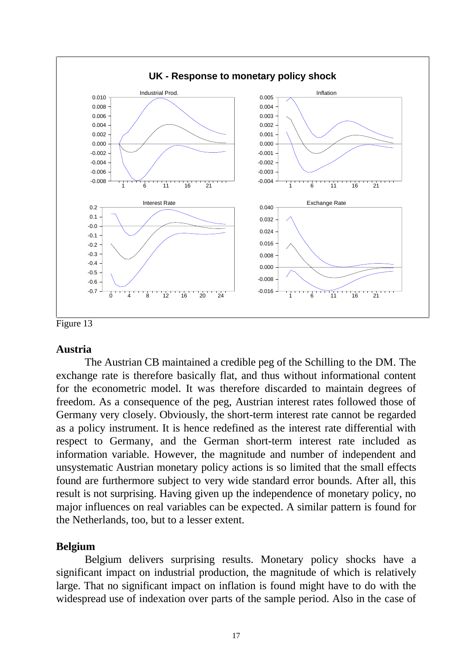

Figure 13

#### **Austria**

The Austrian CB maintained a credible peg of the Schilling to the DM. The exchange rate is therefore basically flat, and thus without informational content for the econometric model. It was therefore discarded to maintain degrees of freedom. As a consequence of the peg, Austrian interest rates followed those of Germany very closely. Obviously, the short-term interest rate cannot be regarded as a policy instrument. It is hence redefined as the interest rate differential with respect to Germany, and the German short-term interest rate included as information variable. However, the magnitude and number of independent and unsystematic Austrian monetary policy actions is so limited that the small effects found are furthermore subject to very wide standard error bounds. After all, this result is not surprising. Having given up the independence of monetary policy, no major influences on real variables can be expected. A similar pattern is found for the Netherlands, too, but to a lesser extent.

## **Belgium**

Belgium delivers surprising results. Monetary policy shocks have a significant impact on industrial production, the magnitude of which is relatively large. That no significant impact on inflation is found might have to do with the widespread use of indexation over parts of the sample period. Also in the case of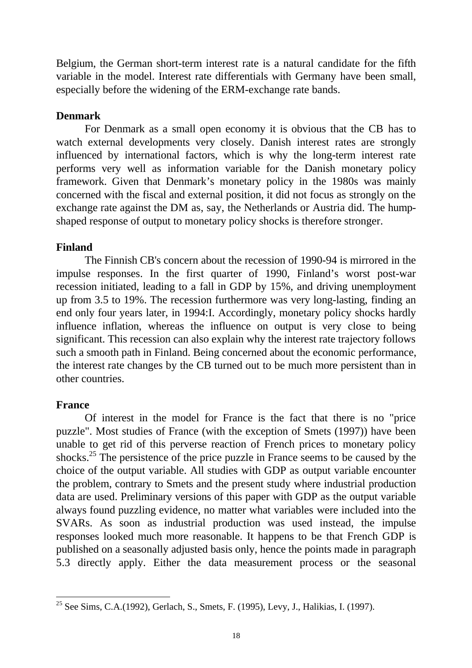Belgium, the German short-term interest rate is a natural candidate for the fifth variable in the model. Interest rate differentials with Germany have been small, especially before the widening of the ERM-exchange rate bands.

## **Denmark**

For Denmark as a small open economy it is obvious that the CB has to watch external developments very closely. Danish interest rates are strongly influenced by international factors, which is why the long-term interest rate performs very well as information variable for the Danish monetary policy framework. Given that Denmark's monetary policy in the 1980s was mainly concerned with the fiscal and external position, it did not focus as strongly on the exchange rate against the DM as, say, the Netherlands or Austria did. The humpshaped response of output to monetary policy shocks is therefore stronger.

## **Finland**

The Finnish CB's concern about the recession of 1990-94 is mirrored in the impulse responses. In the first quarter of 1990, Finland's worst post-war recession initiated, leading to a fall in GDP by 15%, and driving unemployment up from 3.5 to 19%. The recession furthermore was very long-lasting, finding an end only four years later, in 1994:I. Accordingly, monetary policy shocks hardly influence inflation, whereas the influence on output is very close to being significant. This recession can also explain why the interest rate trajectory follows such a smooth path in Finland. Being concerned about the economic performance, the interest rate changes by the CB turned out to be much more persistent than in other countries.

## **France**

Of interest in the model for France is the fact that there is no "price puzzle". Most studies of France (with the exception of Smets (1997)) have been unable to get rid of this perverse reaction of French prices to monetary policy shocks.<sup>25</sup> The persistence of the price puzzle in France seems to be caused by the choice of the output variable. All studies with GDP as output variable encounter the problem, contrary to Smets and the present study where industrial production data are used. Preliminary versions of this paper with GDP as the output variable always found puzzling evidence, no matter what variables were included into the SVARs. As soon as industrial production was used instead, the impulse responses looked much more reasonable. It happens to be that French GDP is published on a seasonally adjusted basis only, hence the points made in paragraph 5.3 directly apply. Either the data measurement process or the seasonal

<sup>-</sup><sup>25</sup> See Sims, C.A.(1992), Gerlach, S., Smets, F. (1995), Levy, J., Halikias, I. (1997).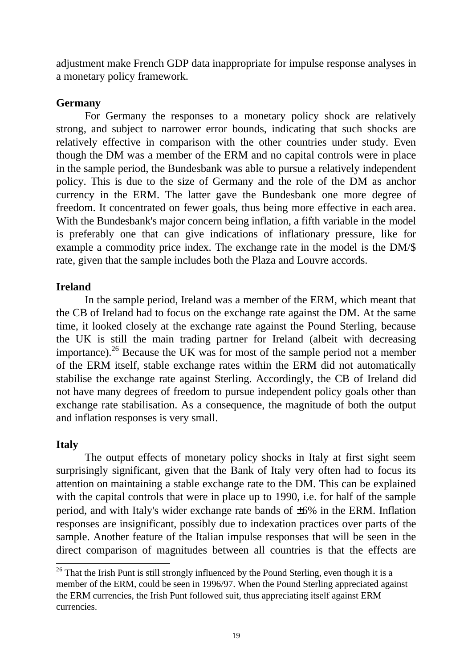adjustment make French GDP data inappropriate for impulse response analyses in a monetary policy framework.

## **Germany**

For Germany the responses to a monetary policy shock are relatively strong, and subject to narrower error bounds, indicating that such shocks are relatively effective in comparison with the other countries under study. Even though the DM was a member of the ERM and no capital controls were in place in the sample period, the Bundesbank was able to pursue a relatively independent policy. This is due to the size of Germany and the role of the DM as anchor currency in the ERM. The latter gave the Bundesbank one more degree of freedom. It concentrated on fewer goals, thus being more effective in each area. With the Bundesbank's major concern being inflation, a fifth variable in the model is preferably one that can give indications of inflationary pressure, like for example a commodity price index. The exchange rate in the model is the DM/\$ rate, given that the sample includes both the Plaza and Louvre accords.

## **Ireland**

In the sample period, Ireland was a member of the ERM, which meant that the CB of Ireland had to focus on the exchange rate against the DM. At the same time, it looked closely at the exchange rate against the Pound Sterling, because the UK is still the main trading partner for Ireland (albeit with decreasing importance).26 Because the UK was for most of the sample period not a member of the ERM itself, stable exchange rates within the ERM did not automatically stabilise the exchange rate against Sterling. Accordingly, the CB of Ireland did not have many degrees of freedom to pursue independent policy goals other than exchange rate stabilisation. As a consequence, the magnitude of both the output and inflation responses is very small.

## **Italy**

The output effects of monetary policy shocks in Italy at first sight seem surprisingly significant, given that the Bank of Italy very often had to focus its attention on maintaining a stable exchange rate to the DM. This can be explained with the capital controls that were in place up to 1990, i.e. for half of the sample period, and with Italy's wider exchange rate bands of ±6% in the ERM. Inflation responses are insignificant, possibly due to indexation practices over parts of the sample. Another feature of the Italian impulse responses that will be seen in the direct comparison of magnitudes between all countries is that the effects are

<sup>-</sup> $26$  That the Irish Punt is still strongly influenced by the Pound Sterling, even though it is a member of the ERM, could be seen in 1996/97. When the Pound Sterling appreciated against the ERM currencies, the Irish Punt followed suit, thus appreciating itself against ERM currencies.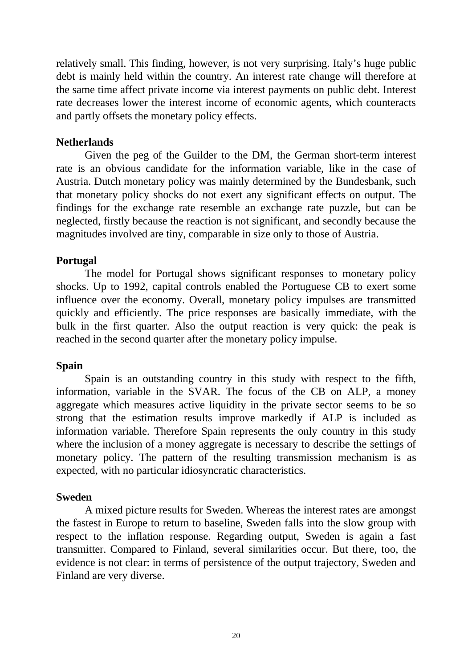relatively small. This finding, however, is not very surprising. Italy's huge public debt is mainly held within the country. An interest rate change will therefore at the same time affect private income via interest payments on public debt. Interest rate decreases lower the interest income of economic agents, which counteracts and partly offsets the monetary policy effects.

#### **Netherlands**

Given the peg of the Guilder to the DM, the German short-term interest rate is an obvious candidate for the information variable, like in the case of Austria. Dutch monetary policy was mainly determined by the Bundesbank, such that monetary policy shocks do not exert any significant effects on output. The findings for the exchange rate resemble an exchange rate puzzle, but can be neglected, firstly because the reaction is not significant, and secondly because the magnitudes involved are tiny, comparable in size only to those of Austria.

## **Portugal**

The model for Portugal shows significant responses to monetary policy shocks. Up to 1992, capital controls enabled the Portuguese CB to exert some influence over the economy. Overall, monetary policy impulses are transmitted quickly and efficiently. The price responses are basically immediate, with the bulk in the first quarter. Also the output reaction is very quick: the peak is reached in the second quarter after the monetary policy impulse.

## **Spain**

Spain is an outstanding country in this study with respect to the fifth, information, variable in the SVAR. The focus of the CB on ALP, a money aggregate which measures active liquidity in the private sector seems to be so strong that the estimation results improve markedly if ALP is included as information variable. Therefore Spain represents the only country in this study where the inclusion of a money aggregate is necessary to describe the settings of monetary policy. The pattern of the resulting transmission mechanism is as expected, with no particular idiosyncratic characteristics.

## **Sweden**

A mixed picture results for Sweden. Whereas the interest rates are amongst the fastest in Europe to return to baseline, Sweden falls into the slow group with respect to the inflation response. Regarding output, Sweden is again a fast transmitter. Compared to Finland, several similarities occur. But there, too, the evidence is not clear: in terms of persistence of the output trajectory, Sweden and Finland are very diverse.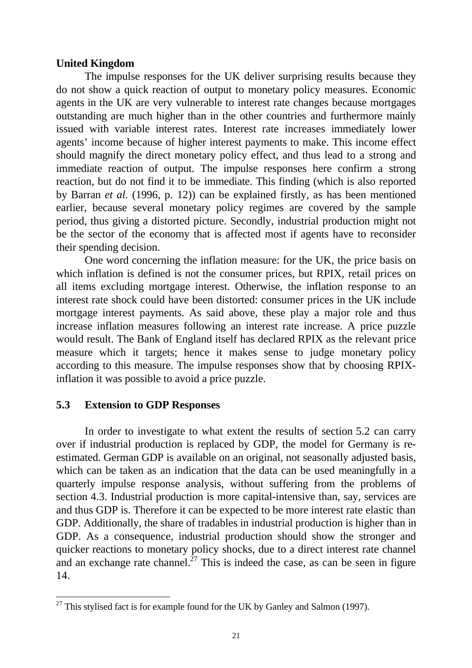#### **United Kingdom**

The impulse responses for the UK deliver surprising results because they do not show a quick reaction of output to monetary policy measures. Economic agents in the UK are very vulnerable to interest rate changes because mortgages outstanding are much higher than in the other countries and furthermore mainly issued with variable interest rates. Interest rate increases immediately lower agents' income because of higher interest payments to make. This income effect should magnify the direct monetary policy effect, and thus lead to a strong and immediate reaction of output. The impulse responses here confirm a strong reaction, but do not find it to be immediate. This finding (which is also reported by Barran *et al.* (1996, p. 12)) can be explained firstly, as has been mentioned earlier, because several monetary policy regimes are covered by the sample period, thus giving a distorted picture. Secondly, industrial production might not be the sector of the economy that is affected most if agents have to reconsider their spending decision.

One word concerning the inflation measure: for the UK, the price basis on which inflation is defined is not the consumer prices, but RPIX, retail prices on all items excluding mortgage interest. Otherwise, the inflation response to an interest rate shock could have been distorted: consumer prices in the UK include mortgage interest payments. As said above, these play a major role and thus increase inflation measures following an interest rate increase. A price puzzle would result. The Bank of England itself has declared RPIX as the relevant price measure which it targets; hence it makes sense to judge monetary policy according to this measure. The impulse responses show that by choosing RPIXinflation it was possible to avoid a price puzzle.

## **5.3 Extension to GDP Responses**

-

In order to investigate to what extent the results of section 5.2 can carry over if industrial production is replaced by GDP, the model for Germany is reestimated. German GDP is available on an original, not seasonally adjusted basis, which can be taken as an indication that the data can be used meaningfully in a quarterly impulse response analysis, without suffering from the problems of section 4.3. Industrial production is more capital-intensive than, say, services are and thus GDP is. Therefore it can be expected to be more interest rate elastic than GDP. Additionally, the share of tradables in industrial production is higher than in GDP. As a consequence, industrial production should show the stronger and quicker reactions to monetary policy shocks, due to a direct interest rate channel and an exchange rate channel.<sup>27</sup> This is indeed the case, as can be seen in figure 14.

 $27$  This stylised fact is for example found for the UK by Ganley and Salmon (1997).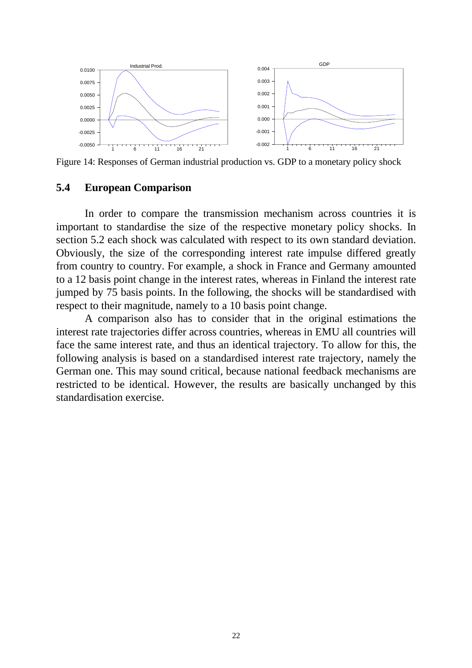

Figure 14: Responses of German industrial production vs. GDP to a monetary policy shock

#### **5.4 European Comparison**

In order to compare the transmission mechanism across countries it is important to standardise the size of the respective monetary policy shocks. In section 5.2 each shock was calculated with respect to its own standard deviation. Obviously, the size of the corresponding interest rate impulse differed greatly from country to country. For example, a shock in France and Germany amounted to a 12 basis point change in the interest rates, whereas in Finland the interest rate jumped by 75 basis points. In the following, the shocks will be standardised with respect to their magnitude, namely to a 10 basis point change.

A comparison also has to consider that in the original estimations the interest rate trajectories differ across countries, whereas in EMU all countries will face the same interest rate, and thus an identical trajectory. To allow for this, the following analysis is based on a standardised interest rate trajectory, namely the German one. This may sound critical, because national feedback mechanisms are restricted to be identical. However, the results are basically unchanged by this standardisation exercise.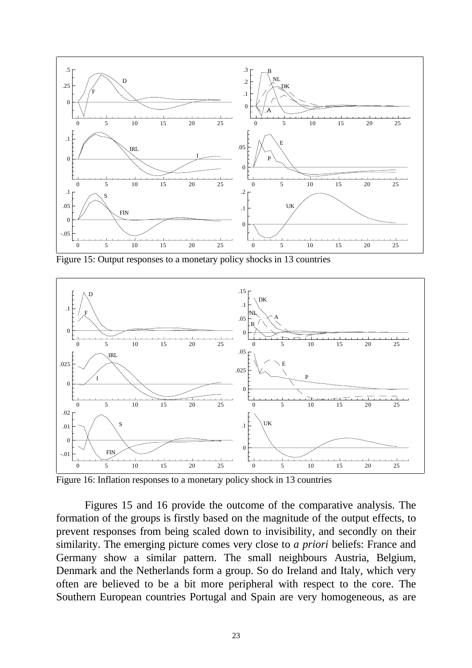

Figure 15: Output responses to a monetary policy shocks in 13 countries



Figure 16: Inflation responses to a monetary policy shock in 13 countries

Figures 15 and 16 provide the outcome of the comparative analysis. The formation of the groups is firstly based on the magnitude of the output effects, to prevent responses from being scaled down to invisibility, and secondly on their similarity. The emerging picture comes very close to *a priori* beliefs: France and Germany show a similar pattern. The small neighbours Austria, Belgium, Denmark and the Netherlands form a group. So do Ireland and Italy, which very often are believed to be a bit more peripheral with respect to the core. The Southern European countries Portugal and Spain are very homogeneous, as are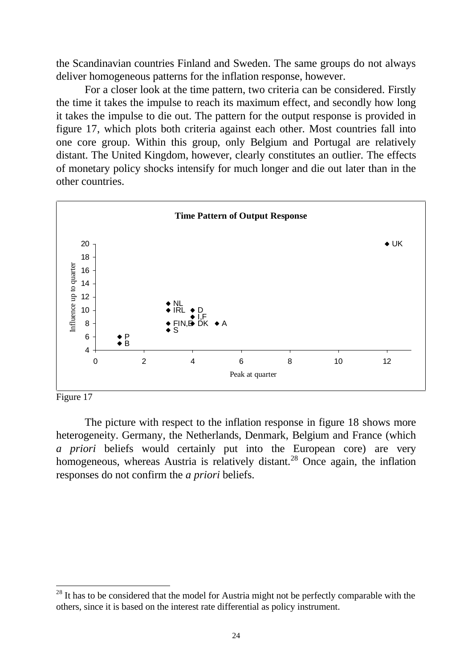the Scandinavian countries Finland and Sweden. The same groups do not always deliver homogeneous patterns for the inflation response, however.

For a closer look at the time pattern, two criteria can be considered. Firstly the time it takes the impulse to reach its maximum effect, and secondly how long it takes the impulse to die out. The pattern for the output response is provided in figure 17, which plots both criteria against each other. Most countries fall into one core group. Within this group, only Belgium and Portugal are relatively distant. The United Kingdom, however, clearly constitutes an outlier. The effects of monetary policy shocks intensify for much longer and die out later than in the other countries.



Figure 17

 $\overline{a}$ 

The picture with respect to the inflation response in figure 18 shows more heterogeneity. Germany, the Netherlands, Denmark, Belgium and France (which *a priori* beliefs would certainly put into the European core) are very homogeneous, whereas Austria is relatively distant.<sup>28</sup> Once again, the inflation responses do not confirm the *a priori* beliefs.

<sup>&</sup>lt;sup>28</sup> It has to be considered that the model for Austria might not be perfectly comparable with the others, since it is based on the interest rate differential as policy instrument.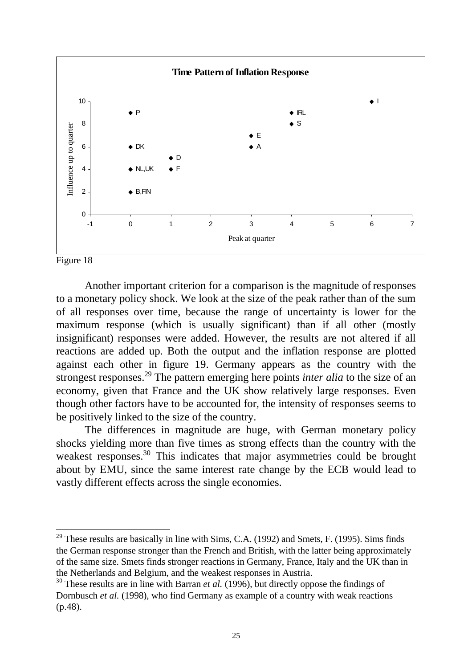

Figure 18

-

Another important criterion for a comparison is the magnitude of responses to a monetary policy shock. We look at the size of the peak rather than of the sum of all responses over time, because the range of uncertainty is lower for the maximum response (which is usually significant) than if all other (mostly insignificant) responses were added. However, the results are not altered if all reactions are added up. Both the output and the inflation response are plotted against each other in figure 19. Germany appears as the country with the strongest responses.29 The pattern emerging here points *inter alia* to the size of an economy, given that France and the UK show relatively large responses. Even though other factors have to be accounted for, the intensity of responses seems to be positively linked to the size of the country.

The differences in magnitude are huge, with German monetary policy shocks yielding more than five times as strong effects than the country with the weakest responses.<sup>30</sup> This indicates that major asymmetries could be brought about by EMU, since the same interest rate change by the ECB would lead to vastly different effects across the single economies.

 $29$  These results are basically in line with Sims, C.A. (1992) and Smets, F. (1995). Sims finds the German response stronger than the French and British, with the latter being approximately of the same size. Smets finds stronger reactions in Germany, France, Italy and the UK than in the Netherlands and Belgium, and the weakest responses in Austria.

<sup>&</sup>lt;sup>30</sup> These results are in line with Barran *et al.* (1996), but directly oppose the findings of Dornbusch *et al.* (1998), who find Germany as example of a country with weak reactions (p.48).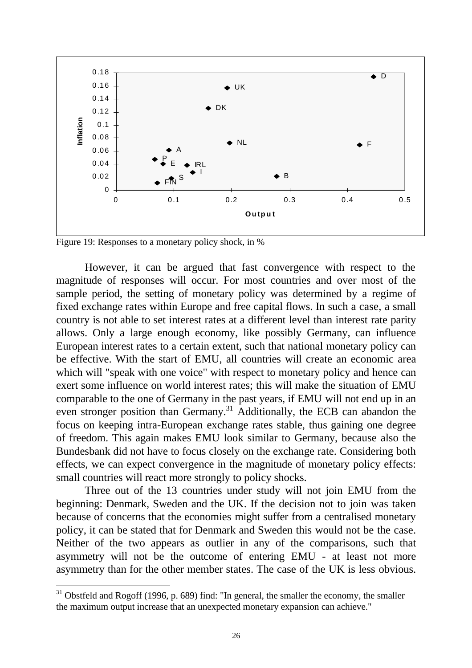

Figure 19: Responses to a monetary policy shock, in %

 $\overline{a}$ 

However, it can be argued that fast convergence with respect to the magnitude of responses will occur. For most countries and over most of the sample period, the setting of monetary policy was determined by a regime of fixed exchange rates within Europe and free capital flows. In such a case, a small country is not able to set interest rates at a different level than interest rate parity allows. Only a large enough economy, like possibly Germany, can influence European interest rates to a certain extent, such that national monetary policy can be effective. With the start of EMU, all countries will create an economic area which will "speak with one voice" with respect to monetary policy and hence can exert some influence on world interest rates; this will make the situation of EMU comparable to the one of Germany in the past years, if EMU will not end up in an even stronger position than Germany.<sup>31</sup> Additionally, the ECB can abandon the focus on keeping intra-European exchange rates stable, thus gaining one degree of freedom. This again makes EMU look similar to Germany, because also the Bundesbank did not have to focus closely on the exchange rate. Considering both effects, we can expect convergence in the magnitude of monetary policy effects: small countries will react more strongly to policy shocks.

Three out of the 13 countries under study will not join EMU from the beginning: Denmark, Sweden and the UK. If the decision not to join was taken because of concerns that the economies might suffer from a centralised monetary policy, it can be stated that for Denmark and Sweden this would not be the case. Neither of the two appears as outlier in any of the comparisons, such that asymmetry will not be the outcome of entering EMU - at least not more asymmetry than for the other member states. The case of the UK is less obvious.

 $31$  Obstfeld and Rogoff (1996, p. 689) find: "In general, the smaller the economy, the smaller the maximum output increase that an unexpected monetary expansion can achieve."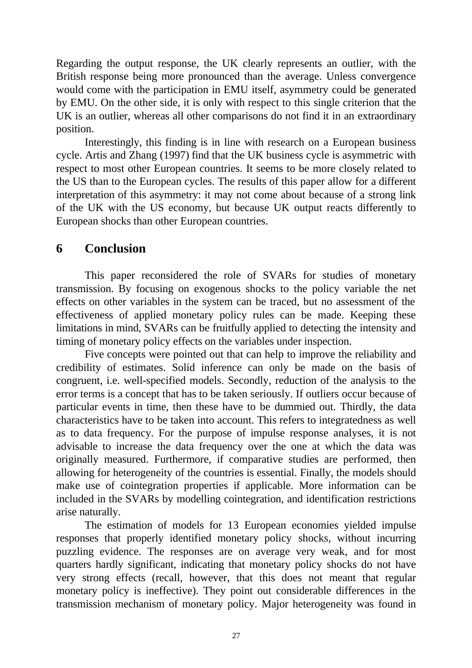Regarding the output response, the UK clearly represents an outlier, with the British response being more pronounced than the average. Unless convergence would come with the participation in EMU itself, asymmetry could be generated by EMU. On the other side, it is only with respect to this single criterion that the UK is an outlier, whereas all other comparisons do not find it in an extraordinary position.

Interestingly, this finding is in line with research on a European business cycle. Artis and Zhang (1997) find that the UK business cycle is asymmetric with respect to most other European countries. It seems to be more closely related to the US than to the European cycles. The results of this paper allow for a different interpretation of this asymmetry: it may not come about because of a strong link of the UK with the US economy, but because UK output reacts differently to European shocks than other European countries.

# **6 Conclusion**

This paper reconsidered the role of SVARs for studies of monetary transmission. By focusing on exogenous shocks to the policy variable the net effects on other variables in the system can be traced, but no assessment of the effectiveness of applied monetary policy rules can be made. Keeping these limitations in mind, SVARs can be fruitfully applied to detecting the intensity and timing of monetary policy effects on the variables under inspection.

Five concepts were pointed out that can help to improve the reliability and credibility of estimates. Solid inference can only be made on the basis of congruent, i.e. well-specified models. Secondly, reduction of the analysis to the error terms is a concept that has to be taken seriously. If outliers occur because of particular events in time, then these have to be dummied out. Thirdly, the data characteristics have to be taken into account. This refers to integratedness as well as to data frequency. For the purpose of impulse response analyses, it is not advisable to increase the data frequency over the one at which the data was originally measured. Furthermore, if comparative studies are performed, then allowing for heterogeneity of the countries is essential. Finally, the models should make use of cointegration properties if applicable. More information can be included in the SVARs by modelling cointegration, and identification restrictions arise naturally.

The estimation of models for 13 European economies yielded impulse responses that properly identified monetary policy shocks, without incurring puzzling evidence. The responses are on average very weak, and for most quarters hardly significant, indicating that monetary policy shocks do not have very strong effects (recall, however, that this does not meant that regular monetary policy is ineffective). They point out considerable differences in the transmission mechanism of monetary policy. Major heterogeneity was found in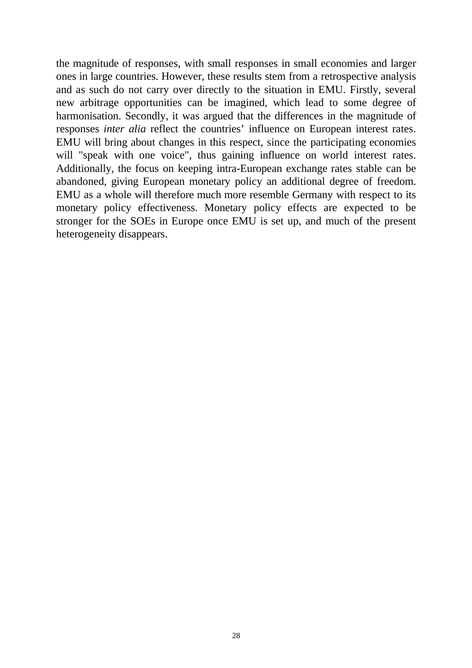the magnitude of responses, with small responses in small economies and larger ones in large countries. However, these results stem from a retrospective analysis and as such do not carry over directly to the situation in EMU. Firstly, several new arbitrage opportunities can be imagined, which lead to some degree of harmonisation. Secondly, it was argued that the differences in the magnitude of responses *inter alia* reflect the countries' influence on European interest rates. EMU will bring about changes in this respect, since the participating economies will "speak with one voice", thus gaining influence on world interest rates. Additionally, the focus on keeping intra-European exchange rates stable can be abandoned, giving European monetary policy an additional degree of freedom. EMU as a whole will therefore much more resemble Germany with respect to its monetary policy effectiveness. Monetary policy effects are expected to be stronger for the SOEs in Europe once EMU is set up, and much of the present heterogeneity disappears.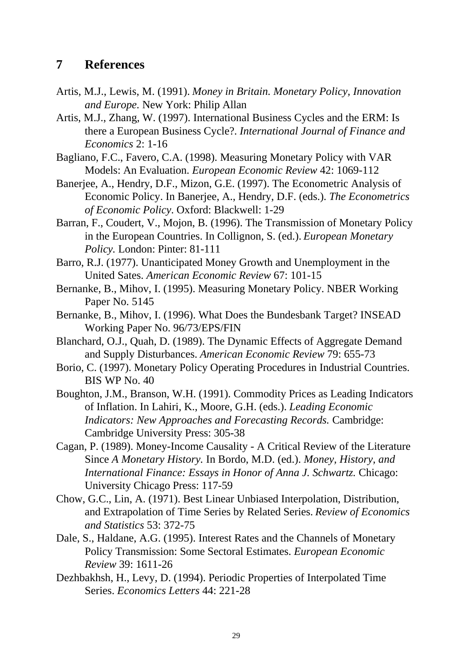## **7 References**

- Artis, M.J., Lewis, M. (1991). *Money in Britain. Monetary Policy, Innovation and Europe.* New York: Philip Allan
- Artis, M.J., Zhang, W. (1997). International Business Cycles and the ERM: Is there a European Business Cycle?. *International Journal of Finance and Economics* 2: 1-16
- Bagliano, F.C., Favero, C.A. (1998). Measuring Monetary Policy with VAR Models: An Evaluation. *European Economic Review* 42: 1069-112
- Banerjee, A., Hendry, D.F., Mizon, G.E. (1997). The Econometric Analysis of Economic Policy. In Banerjee, A., Hendry, D.F. (eds.). *The Econometrics of Economic Policy*. Oxford: Blackwell: 1-29
- Barran, F., Coudert, V., Mojon, B. (1996). The Transmission of Monetary Policy in the European Countries. In Collignon, S. (ed.). *European Monetary Policy.* London: Pinter: 81-111
- Barro, R.J. (1977). Unanticipated Money Growth and Unemployment in the United Sates. *American Economic Review* 67: 101-15
- Bernanke, B., Mihov, I. (1995). Measuring Monetary Policy. NBER Working Paper No. 5145
- Bernanke, B., Mihov, I. (1996). What Does the Bundesbank Target? INSEAD Working Paper No. 96/73/EPS/FIN
- Blanchard, O.J., Quah, D. (1989). The Dynamic Effects of Aggregate Demand and Supply Disturbances. *American Economic Review* 79: 655-73
- Borio, C. (1997). Monetary Policy Operating Procedures in Industrial Countries. BIS WP No. 40
- Boughton, J.M., Branson, W.H. (1991). Commodity Prices as Leading Indicators of Inflation. In Lahiri, K., Moore, G.H. (eds.). *Leading Economic Indicators: New Approaches and Forecasting Records.* Cambridge: Cambridge University Press: 305-38
- Cagan, P. (1989). Money-Income Causality A Critical Review of the Literature Since *A Monetary History.* In Bordo, M.D. (ed.). *Money, History, and International Finance: Essays in Honor of Anna J. Schwartz.* Chicago: University Chicago Press: 117-59
- Chow, G.C., Lin, A. (1971). Best Linear Unbiased Interpolation, Distribution, and Extrapolation of Time Series by Related Series. *Review of Economics and Statistics* 53: 372-75
- Dale, S., Haldane, A.G. (1995). Interest Rates and the Channels of Monetary Policy Transmission: Some Sectoral Estimates. *European Economic Review* 39: 1611-26
- Dezhbakhsh, H., Levy, D. (1994). Periodic Properties of Interpolated Time Series. *Economics Letters* 44: 221-28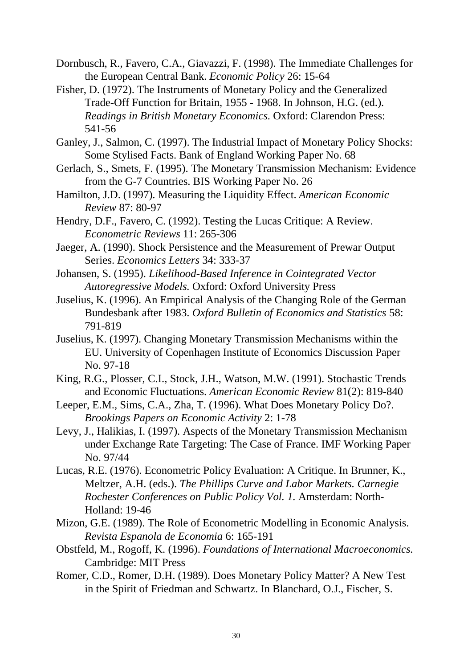Dornbusch, R., Favero, C.A., Giavazzi, F. (1998). The Immediate Challenges for the European Central Bank. *Economic Policy* 26: 15-64

- Fisher, D. (1972). The Instruments of Monetary Policy and the Generalized Trade-Off Function for Britain, 1955 - 1968. In Johnson, H.G. (ed.). *Readings in British Monetary Economics.* Oxford: Clarendon Press: 541-56
- Ganley, J., Salmon, C. (1997). The Industrial Impact of Monetary Policy Shocks: Some Stylised Facts. Bank of England Working Paper No. 68
- Gerlach, S., Smets, F. (1995). The Monetary Transmission Mechanism: Evidence from the G-7 Countries. BIS Working Paper No. 26
- Hamilton, J.D. (1997). Measuring the Liquidity Effect. *American Economic Review* 87: 80-97
- Hendry, D.F., Favero, C. (1992). Testing the Lucas Critique: A Review. *Econometric Reviews* 11: 265-306
- Jaeger, A. (1990). Shock Persistence and the Measurement of Prewar Output Series. *Economics Letters* 34: 333-37
- Johansen, S. (1995). *Likelihood-Based Inference in Cointegrated Vector Autoregressive Models.* Oxford: Oxford University Press
- Juselius, K. (1996). An Empirical Analysis of the Changing Role of the German Bundesbank after 1983. *Oxford Bulletin of Economics and Statistics* 58: 791-819
- Juselius, K. (1997). Changing Monetary Transmission Mechanisms within the EU. University of Copenhagen Institute of Economics Discussion Paper No. 97-18
- King, R.G., Plosser, C.I., Stock, J.H., Watson, M.W. (1991). Stochastic Trends and Economic Fluctuations. *American Economic Review* 81(2): 819-840
- Leeper, E.M., Sims, C.A., Zha, T. (1996). What Does Monetary Policy Do?. *Brookings Papers on Economic Activity* 2: 1-78
- Levy, J., Halikias, I. (1997). Aspects of the Monetary Transmission Mechanism under Exchange Rate Targeting: The Case of France. IMF Working Paper No. 97/44
- Lucas, R.E. (1976). Econometric Policy Evaluation: A Critique. In Brunner, K., Meltzer, A.H. (eds.). *The Phillips Curve and Labor Markets. Carnegie Rochester Conferences on Public Policy Vol. 1.* Amsterdam: North-Holland: 19-46
- Mizon, G.E. (1989). The Role of Econometric Modelling in Economic Analysis. *Revista Espanola de Economia* 6: 165-191
- Obstfeld, M., Rogoff, K. (1996). *Foundations of International Macroeconomics.* Cambridge: MIT Press
- Romer, C.D., Romer, D.H. (1989). Does Monetary Policy Matter? A New Test in the Spirit of Friedman and Schwartz. In Blanchard, O.J., Fischer, S.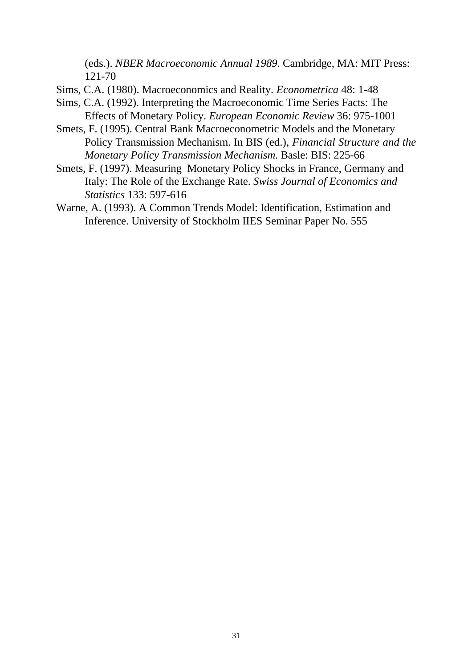(eds.). *NBER Macroeconomic Annual 1989.* Cambridge, MA: MIT Press: 121-70

- Sims, C.A. (1980). Macroeconomics and Reality. *Econometrica* 48: 1-48
- Sims, C.A. (1992). Interpreting the Macroeconomic Time Series Facts: The Effects of Monetary Policy. *European Economic Review* 36: 975-1001
- Smets, F. (1995). Central Bank Macroeconometric Models and the Monetary Policy Transmission Mechanism. In BIS (ed.), *Financial Structure and the Monetary Policy Transmission Mechanism.* Basle: BIS: 225-66
- Smets, F. (1997). Measuring Monetary Policy Shocks in France, Germany and Italy: The Role of the Exchange Rate. *Swiss Journal of Economics and Statistics* 133: 597-616
- Warne, A. (1993). A Common Trends Model: Identification, Estimation and Inference. University of Stockholm IIES Seminar Paper No. 555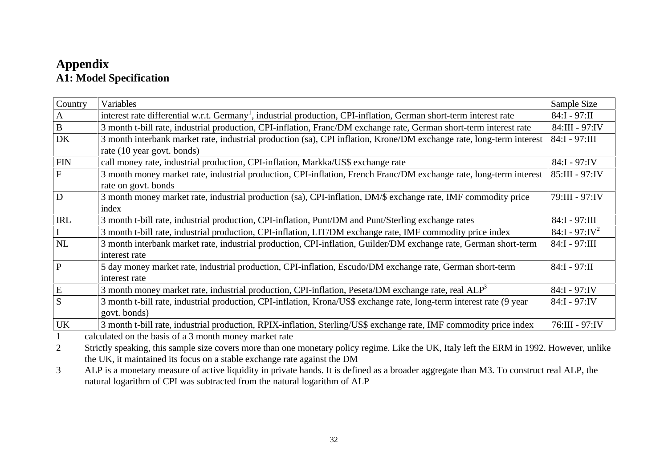# **Appendix A1: Model Specification**

| Country        | Variables                                                                                                                      | Sample Size      |  |  |  |  |
|----------------|--------------------------------------------------------------------------------------------------------------------------------|------------------|--|--|--|--|
| A              | interest rate differential w.r.t. Germany <sup>1</sup> , industrial production, CPI-inflation, German short-term interest rate |                  |  |  |  |  |
| $\bf{B}$       | 3 month t-bill rate, industrial production, CPI-inflation, Franc/DM exchange rate, German short-term interest rate             |                  |  |  |  |  |
| <b>DK</b>      | 3 month interbank market rate, industrial production (sa), CPI inflation, Krone/DM exchange rate, long-term interest           |                  |  |  |  |  |
|                | rate (10 year govt. bonds)                                                                                                     |                  |  |  |  |  |
| <b>FIN</b>     | call money rate, industrial production, CPI-inflation, Markka/US\$ exchange rate                                               |                  |  |  |  |  |
| $\overline{F}$ | 3 month money market rate, industrial production, CPI-inflation, French Franc/DM exchange rate, long-term interest             | 85:III - 97:IV   |  |  |  |  |
|                | rate on govt. bonds                                                                                                            |                  |  |  |  |  |
| D              | 3 month money market rate, industrial production (sa), CPI-inflation, DM/\$ exchange rate, IMF commodity price                 | 79:III - 97:IV   |  |  |  |  |
|                | index                                                                                                                          |                  |  |  |  |  |
| <b>IRL</b>     | 3 month t-bill rate, industrial production, CPI-inflation, Punt/DM and Punt/Sterling exchange rates                            | 84:I - 97:III    |  |  |  |  |
|                | 3 month t-bill rate, industrial production, CPI-inflation, LIT/DM exchange rate, IMF commodity price index                     | $84:1 - 97:1V^2$ |  |  |  |  |
| NL             | 3 month interbank market rate, industrial production, CPI-inflation, Guilder/DM exchange rate, German short-term               | 84:I - 97:III    |  |  |  |  |
|                | interest rate                                                                                                                  |                  |  |  |  |  |
| P              | 5 day money market rate, industrial production, CPI-inflation, Escudo/DM exchange rate, German short-term                      | $84:1 - 97:11$   |  |  |  |  |
|                | interest rate                                                                                                                  |                  |  |  |  |  |
| ${\bf E}$      | 3 month money market rate, industrial production, CPI-inflation, Peseta/DM exchange rate, real $ALP3$                          | $84:I - 97:IV$   |  |  |  |  |
| S              | 3 month t-bill rate, industrial production, CPI-inflation, Krona/US\$ exchange rate, long-term interest rate (9 year           | 84:I - 97:IV     |  |  |  |  |
|                | govt. bonds)                                                                                                                   |                  |  |  |  |  |
| <b>UK</b>      | 3 month t-bill rate, industrial production, RPIX-inflation, Sterling/US\$ exchange rate, IMF commodity price index             | 76:III - 97:IV   |  |  |  |  |
|                | colculated on the basis of a 3 month money market rate                                                                         |                  |  |  |  |  |

1 calculated on the basis of a 3 month money market rate

2 Strictly speaking, this sample size covers more than one monetary policy regime. Like the UK, Italy left the ERM in 1992. However, unlike the UK, it maintained its focus on a stable exchange rate against the DM

3 ALP is a monetary measure of active liquidity in private hands. It is defined as a broader aggregate than M3. To construct real ALP, the natural logarithm of CPI was subtracted from the natural logarithm of ALP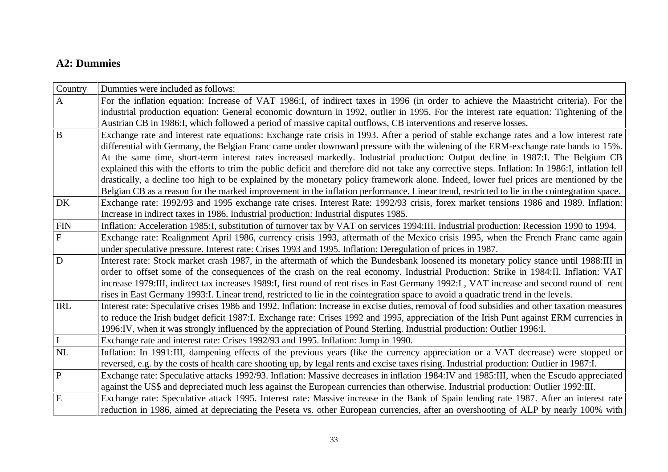#### **A2: Dummies**

| Country      | Dummies were included as follows:                                                                                                                |  |  |  |  |  |
|--------------|--------------------------------------------------------------------------------------------------------------------------------------------------|--|--|--|--|--|
| $\mathbf{A}$ | For the inflation equation: Increase of VAT 1986:I, of indirect taxes in 1996 (in order to achieve the Maastricht criteria). For the             |  |  |  |  |  |
|              | industrial production equation: General economic downturn in 1992, outlier in 1995. For the interest rate equation: Tightening of the            |  |  |  |  |  |
|              | Austrian CB in 1986:I, which followed a period of massive capital outflows, CB interventions and reserve losses.                                 |  |  |  |  |  |
| $\, {\bf B}$ | Exchange rate and interest rate equations: Exchange rate crisis in 1993. After a period of stable exchange rates and a low interest rate         |  |  |  |  |  |
|              | differential with Germany, the Belgian Franc came under downward pressure with the widening of the ERM-exchange rate bands to 15%.               |  |  |  |  |  |
|              | At the same time, short-term interest rates increased markedly. Industrial production: Output decline in 1987:I. The Belgium CB                  |  |  |  |  |  |
|              | explained this with the efforts to trim the public deficit and therefore did not take any corrective steps. Inflation: In 1986:I, inflation fell |  |  |  |  |  |
|              | drastically, a decline too high to be explained by the monetary policy framework alone. Indeed, lower fuel prices are mentioned by the           |  |  |  |  |  |
|              | Belgian CB as a reason for the marked improvement in the inflation performance. Linear trend, restricted to lie in the cointegration space.      |  |  |  |  |  |
| <b>DK</b>    | Exchange rate: 1992/93 and 1995 exchange rate crises. Interest Rate: 1992/93 crisis, forex market tensions 1986 and 1989. Inflation:             |  |  |  |  |  |
|              | Increase in indirect taxes in 1986. Industrial production: Industrial disputes 1985.                                                             |  |  |  |  |  |
| <b>FIN</b>   | Inflation: Acceleration 1985:I, substitution of turnover tax by VAT on services 1994:III. Industrial production: Recession 1990 to 1994.         |  |  |  |  |  |
| $\mathbf F$  | Exchange rate: Realignment April 1986, currency crisis 1993, aftermath of the Mexico crisis 1995, when the French Franc came again               |  |  |  |  |  |
|              | under speculative pressure. Interest rate: Crises 1993 and 1995. Inflation: Deregulation of prices in 1987.                                      |  |  |  |  |  |
| D            | Interest rate: Stock market crash 1987, in the aftermath of which the Bundesbank loosened its monetary policy stance until 1988:III in           |  |  |  |  |  |
|              | order to offset some of the consequences of the crash on the real economy. Industrial Production: Strike in 1984:II. Inflation: VAT              |  |  |  |  |  |
|              | increase 1979:III, indirect tax increases 1989:I, first round of rent rises in East Germany 1992:I, VAT increase and second round of rent        |  |  |  |  |  |
|              | rises in East Germany 1993:I. Linear trend, restricted to lie in the cointegration space to avoid a quadratic trend in the levels.               |  |  |  |  |  |
| <b>IRL</b>   | Interest rate: Speculative crises 1986 and 1992. Inflation: Increase in excise duties, removal of food subsidies and other taxation measures     |  |  |  |  |  |
|              | to reduce the Irish budget deficit 1987:I. Exchange rate: Crises 1992 and 1995, appreciation of the Irish Punt against ERM currencies in         |  |  |  |  |  |
|              | 1996:IV, when it was strongly influenced by the appreciation of Pound Sterling. Industrial production: Outlier 1996:I.                           |  |  |  |  |  |
|              | Exchange rate and interest rate: Crises 1992/93 and 1995. Inflation: Jump in 1990.                                                               |  |  |  |  |  |
| NL           | Inflation: In 1991:III, dampening effects of the previous years (like the currency appreciation or a VAT decrease) were stopped or               |  |  |  |  |  |
|              | reversed, e.g. by the costs of health care shooting up, by legal rents and excise taxes rising. Industrial production: Outlier in 1987:I.        |  |  |  |  |  |
| $\, {\bf P}$ | Exchange rate: Speculative attacks 1992/93. Inflation: Massive decreases in inflation 1984:IV and 1985:III, when the Escudo appreciated          |  |  |  |  |  |
|              | against the US\$ and depreciated much less against the European currencies than otherwise. Industrial production: Outlier 1992:III.              |  |  |  |  |  |
| ${\bf E}$    | Exchange rate: Speculative attack 1995. Interest rate: Massive increase in the Bank of Spain lending rate 1987. After an interest rate           |  |  |  |  |  |
|              | reduction in 1986, aimed at depreciating the Peseta vs. other European currencies, after an overshooting of ALP by nearly 100% with              |  |  |  |  |  |